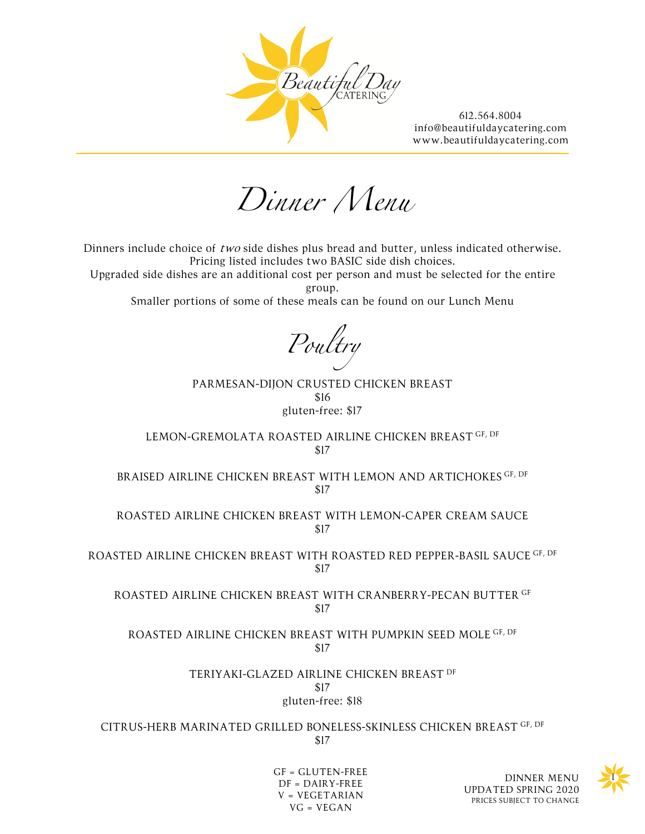

*Dinner Menu*

Dinners include choice of two side dishes plus bread and butter, unless indicated otherwise. Pricing listed includes two BASIC side dish choices.

Upgraded side dishes are an additional cost per person and must be selected for the entire group.

Smaller portions of some of these meals can be found on our Lunch Menu

*Poultry*

PARMESAN-DIJON CRUSTED CHICKEN BREAST \$16 gluten-free: \$17

LEMON-GREMOLATA ROASTED AIRLINE CHICKEN BREAST GF, DF \$17

BRAISED AIRLINE CHICKEN BREAST WITH LEMON AND ARTICHOKES GF, DF \$17

ROASTED AIRLINE CHICKEN BREAST WITH LEMON-CAPER CREAM SAUCE \$17

ROASTED AIRLINE CHICKEN BREAST WITH ROASTED RED PEPPER-BASIL SAUCE GF, DF \$17

ROASTED AIRLINE CHICKEN BREAST WITH CRANBERRY-PECAN BUTTER GF \$17

ROASTED AIRLINE CHICKEN BREAST WITH PUMPKIN SEED MOLE GF, DF \$17

> TERIYAKI-GLAZED AIRLINE CHICKEN BREAST DF \$17 gluten-free: \$18

CITRUS-HERB MARINATED GRILLED BONELESS-SKINLESS CHICKEN BREAST GF, DF \$17



GF = GLUTEN-FREE<br>DINNER MENU  $DF = DAIRY-FREE$ V = VEGETARIAN VG = VEGAN

UPDATED SPRING 2020 PRICES SUBJECT TO CHANGE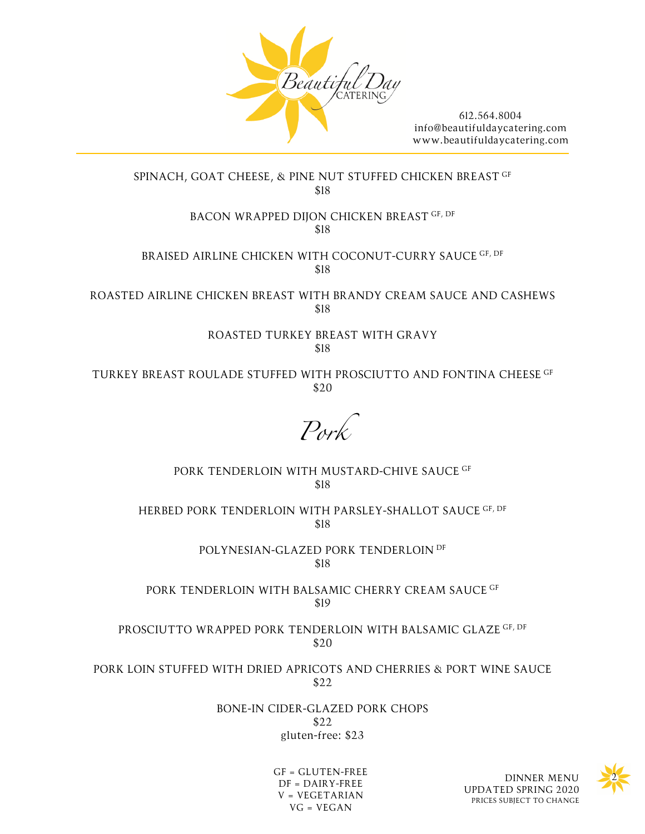

# SPINACH, GOAT CHEESE, & PINE NUT STUFFED CHICKEN BREAST GF \$18

### BACON WRAPPED DIJON CHICKEN BREAST GF, DF \$18

BRAISED AIRLINE CHICKEN WITH COCONUT-CURRY SAUCE GF, DF \$18

ROASTED AIRLINE CHICKEN BREAST WITH BRANDY CREAM SAUCE AND CASHEWS \$18

# ROASTED TURKEY BREAST WITH GRAVY \$18

TURKEY BREAST ROULADE STUFFED WITH PROSCIUTTO AND FONTINA CHEESE GF \$20

*Pork*

PORK TENDERLOIN WITH MUSTARD-CHIVE SAUCE GF \$18

HERBED PORK TENDERLOIN WITH PARSLEY-SHALLOT SAUCE GF, DF \$18

> POLYNESIAN-GLAZED PORK TENDERLOIN DF \$18

PORK TENDERLOIN WITH BALSAMIC CHERRY CREAM SAUCE GF \$19

PROSCIUTTO WRAPPED PORK TENDERLOIN WITH BALSAMIC GLAZE GF, DF \$20

PORK LOIN STUFFED WITH DRIED APRICOTS AND CHERRIES & PORT WINE SAUCE \$22

> BONE-IN CIDER-GLAZED PORK CHOPS \$22 gluten-free: \$23

> > GF = GLUTEN-FREE DF = DAIRY-FREE V = VEGETARIAN VG = VEGAN



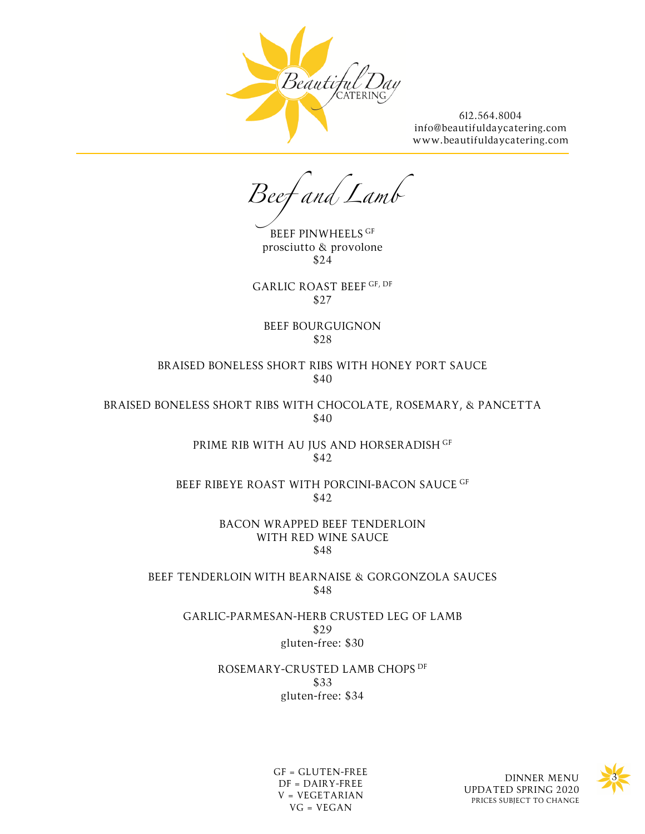

*Beef and Lamb*

BEEF PINWHEELS GF prosciutto & provolone \$24

GARLIC ROAST BEEF GF, DF \$27

BEEF BOURGUIGNON \$28

BRAISED BONELESS SHORT RIBS WITH HONEY PORT SAUCE \$40

BRAISED BONELESS SHORT RIBS WITH CHOCOLATE, ROSEMARY, & PANCETTA \$40

> PRIME RIB WITH AU JUS AND HORSERADISH GF \$42

BEEF RIBEYE ROAST WITH PORCINI-BACON SAUCE GF \$42

> BACON WRAPPED BEEF TENDERLOIN WITH RED WINE SAUCE \$48

BEEF TENDERLOIN WITH BEARNAISE & GORGONZOLA SAUCES \$48

GARLIC-PARMESAN-HERB CRUSTED LEG OF LAMB \$29 gluten-free: \$30

> ROSEMARY-CRUSTED LAMB CHOPS DF \$33 gluten-free: \$34





GF = GLUTEN-FREE DF = DAIRY-FREE V = VEGETARIAN VG = VEGAN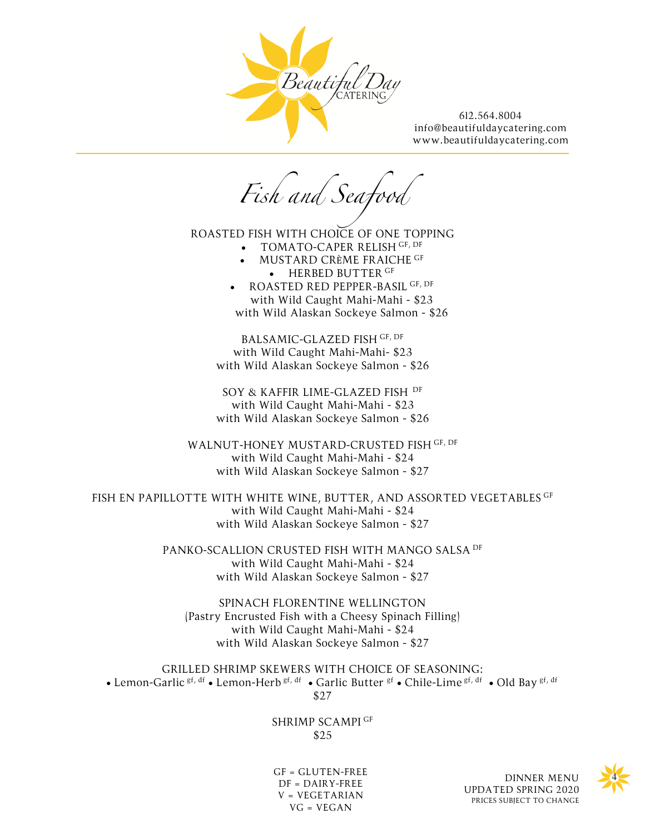

Fish and Seafor

ROASTED FISH WITH CHOICE OF ONE TOPPING

- TOMATO-CAPER RELISH GF, DF
- MUSTARD CRÈME FRAICHE GF • HERBED BUTTER GF
- ROASTED RED PEPPER-BASIL GF, DF with Wild Caught Mahi-Mahi - \$23 with Wild Alaskan Sockeye Salmon - \$26

BALSAMIC-GLAZED FISH GF, DF with Wild Caught Mahi-Mahi- \$23 with Wild Alaskan Sockeye Salmon - \$26

SOY & KAFFIR LIME-GLAZED FISH DF with Wild Caught Mahi-Mahi - \$23 with Wild Alaskan Sockeye Salmon - \$26

WALNUT-HONEY MUSTARD-CRUSTED FISH GF, DF with Wild Caught Mahi-Mahi - \$24 with Wild Alaskan Sockeye Salmon - \$27

FISH EN PAPILLOTTE WITH WHITE WINE, BUTTER, AND ASSORTED VEGETABLES GF with Wild Caught Mahi-Mahi - \$24 with Wild Alaskan Sockeye Salmon - \$27

> PANKO-SCALLION CRUSTED FISH WITH MANGO SALSA DF with Wild Caught Mahi-Mahi - \$24 with Wild Alaskan Sockeye Salmon - \$27

SPINACH FLORENTINE WELLINGTON (Pastry Encrusted Fish with a Cheesy Spinach Filling) with Wild Caught Mahi-Mahi - \$24 with Wild Alaskan Sockeye Salmon - \$27

GRILLED SHRIMP SKEWERS WITH CHOICE OF SEASONING: • Lemon-Garlic  $g_f$ ,  $df$  • Lemon-Herb  $g_f$ ,  $df$  • Garlic Butter  $g_f$  • Chile-Lime  $g_f$ ,  $df$  • Old Bay  $g_f$ ,  $df$ \$27

> SHRIMP SCAMPI GF \$25

GF = GLUTEN-FREE  $DF = DAIRY-FREE$ V = VEGETARIAN VG = VEGAN

DINNER MENU UPDATED SPRING 2020 PRICES SUBJECT TO CHANGE

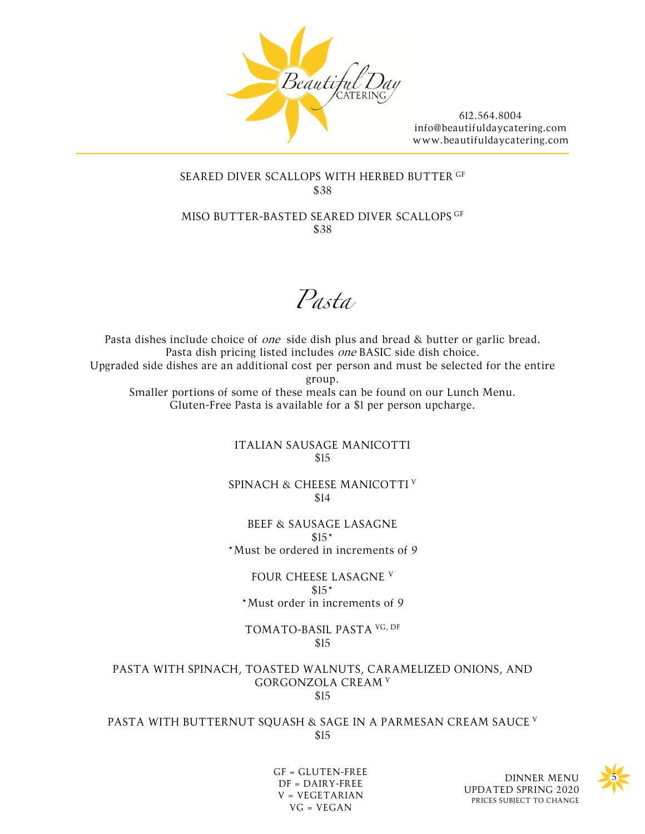

# SEARED DIVER SCALLOPS WITH HERBED BUTTER GF \$38

MISO BUTTER-BASTED SEARED DIVER SCALLOPS GF \$38

*Pasta*

Pasta dishes include choice of *one* side dish plus and bread & butter or garlic bread. Pasta dish pricing listed includes one BASIC side dish choice. Upgraded side dishes are an additional cost per person and must be selected for the entire group. Smaller portions of some of these meals can be found on our Lunch Menu. Gluten-Free Pasta is available for a \$1 per person upcharge.

> ITALIAN SAUSAGE MANICOTTI \$15

SPINACH & CHEESE MANICOTTI <sup>V</sup> \$14

BEEF & SAUSAGE LASAGNE  $$15*$ \*Must be ordered in increments of 9

FOUR CHEESE LASAGNE <sup>V</sup>  $$15*$ \*Must order in increments of 9

TOMATO-BASIL PASTA VG, DF \$15

PASTA WITH SPINACH, TOASTED WALNUTS, CARAMELIZED ONIONS, AND GORGONZOLA CREAM <sup>V</sup> \$15

PASTA WITH BUTTERNUT SQUASH & SAGE IN A PARMESAN CREAM SAUCE V \$15



GF = GLUTEN-FREE DF = DAIRY-FREE V = VEGETARIAN VG = VEGAN

DINNER MENU UPDATED SPRING 2020 PRICES SUBJECT TO CHANGE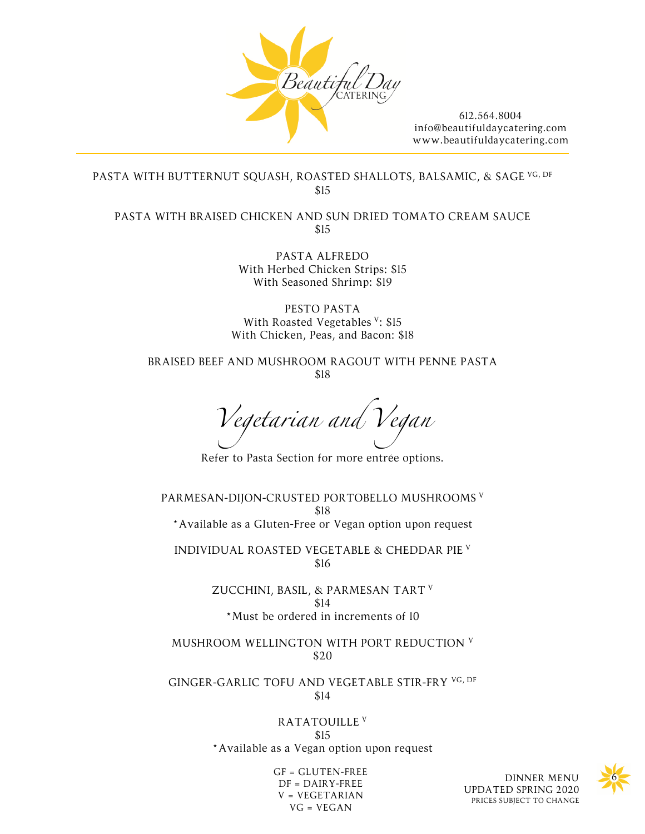

PASTA WITH BUTTERNUT SQUASH, ROASTED SHALLOTS, BALSAMIC, & SAGE VG, DF \$15

PASTA WITH BRAISED CHICKEN AND SUN DRIED TOMATO CREAM SAUCE \$15

> PASTA ALFREDO With Herbed Chicken Strips: \$15 With Seasoned Shrimp: \$19

PESTO PASTA With Roasted Vegetables <sup>V</sup>: \$15 With Chicken, Peas, and Bacon: \$18

BRAISED BEEF AND MUSHROOM RAGOUT WITH PENNE PASTA \$18

*Vegetarian and Vegan*

Refer to Pasta Section for more entrée options.

PARMESAN-DIJON-CRUSTED PORTOBELLO MUSHROOMS <sup>V</sup> \$18 \*Available as a Gluten-Free or Vegan option upon request

INDIVIDUAL ROASTED VEGETABLE & CHEDDAR PIE <sup>V</sup> \$16

> ZUCCHINI, BASIL, & PARMESAN TART <sup>V</sup> \$14 \*Must be ordered in increments of 10

MUSHROOM WELLINGTON WITH PORT REDUCTION <sup>V</sup> \$20

GINGER-GARLIC TOFU AND VEGETABLE STIR-FRY VG, DF \$14

> RATATOUILLE <sup>V</sup> \$15 \*Available as a Vegan option upon request

> > GF = GLUTEN-FREE DF = DAIRY-FREE V = VEGETARIAN VG = VEGAN

DINNER MENU UPDATED SPRING 2020 PRICES SUBJECT TO CHANGE

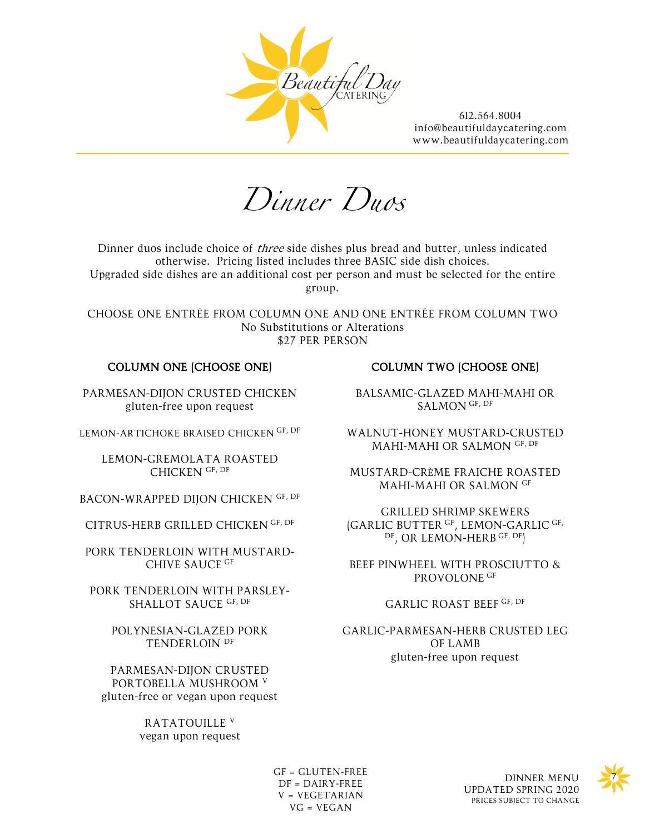

*Dinner Duos*

Dinner duos include choice of *three* side dishes plus bread and butter, unless indicated otherwise. Pricing listed includes three BASIC side dish choices. Upgraded side dishes are an additional cost per person and must be selected for the entire group.

CHOOSE ONE ENTRÉE FROM COLUMN ONE AND ONE ENTRÉE FROM COLUMN TWO No Substitutions or Alterations \$27 PER PERSON

### COLUMN ONE (CHOOSE ONE)

PARMESAN-DIJON CRUSTED CHICKEN gluten-free upon request

LEMON-ARTICHOKE BRAISED CHICKEN GF, DF

LEMON-GREMOLATA ROASTED CHICKEN GF, DF

BACON-WRAPPED DIJON CHICKEN GF, DF

CITRUS-HERB GRILLED CHICKEN GF, DF

PORK TENDERLOIN WITH MUSTARD-CHIVE SAUCE GF

PORK TENDERLOIN WITH PARSLEY-SHALLOT SAUCE GF, DF

> POLYNESIAN-GLAZED PORK TENDERLOIN DF

PARMESAN-DIJON CRUSTED PORTOBELLA MUSHROOM <sup>V</sup> gluten-free or vegan upon request

> RATATOUILLE <sup>V</sup> vegan upon request

# COLUMN TWO (CHOOSE ONE)

BALSAMIC-GLAZED MAHI-MAHI OR SALMON GF, DF

WALNUT-HONEY MUSTARD-CRUSTED MAHI-MAHI OR SALMON GF, DF

MUSTARD-CRÈME FRAICHE ROASTED MAHI-MAHI OR SALMON GF

GRILLED SHRIMP SKEWERS (GARLIC BUTTER GF, LEMON-GARLIC GF, DF, OR LEMON-HERB GF, DF)

BEEF PINWHEEL WITH PROSCIUTTO & PROVOLONE<sup>GF</sup>

#### GARLIC ROAST BEEF GF, DF

GARLIC-PARMESAN-HERB CRUSTED LEG OF LAMB gluten-free upon request

GF = GLUTEN-FREE<br>DINNER MENU DF = DAIRY-FREE V = VEGETARIAN VG = VEGAN

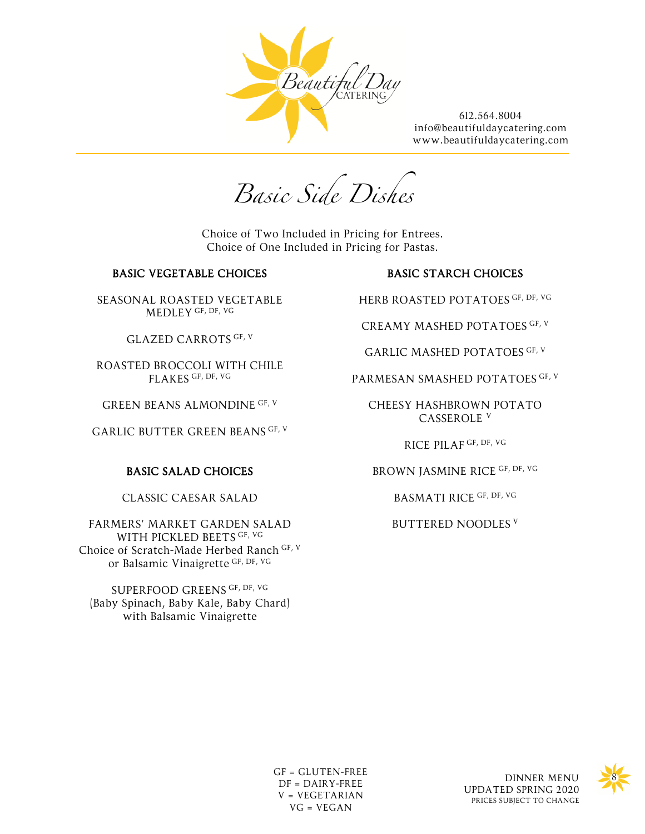

*Basic Side Dishes*

Choice of Two Included in Pricing for Entrees. Choice of One Included in Pricing for Pastas.

### BASIC VEGETABLE CHOICES

SEASONAL ROASTED VEGETABLE MEDLEY GF, DF, VG

GLAZED CARROTS GF, V

ROASTED BROCCOLI WITH CHILE FLAKES GF, DF, VG

GREEN BEANS ALMONDINE GF, V

GARLIC BUTTER GREEN BEANS GF, V

# BASIC SALAD CHOICES

CLASSIC CAESAR SALAD

FARMERS' MARKET GARDEN SALAD WITH PICKLED BEETS GF, VG Choice of Scratch-Made Herbed Ranch GF, V or Balsamic Vinaigrette GF, DF, VG

SUPERFOOD GREENS GF, DF, VG (Baby Spinach, Baby Kale, Baby Chard) with Balsamic Vinaigrette

# BASIC STARCH CHOICES

HERB ROASTED POTATOES GF, DF, VG

CREAMY MASHED POTATOES GF, V

GARLIC MASHED POTATOES GF, V

PARMESAN SMASHED POTATOES GF, V

CHEESY HASHBROWN POTATO CASSEROLE <sup>V</sup>

RICE PILAF GF, DF, VG

BROWN JASMINE RICE GF, DF, VG

BASMATI RICE GF, DF, VG

BUTTERED NOODLES <sup>V</sup>

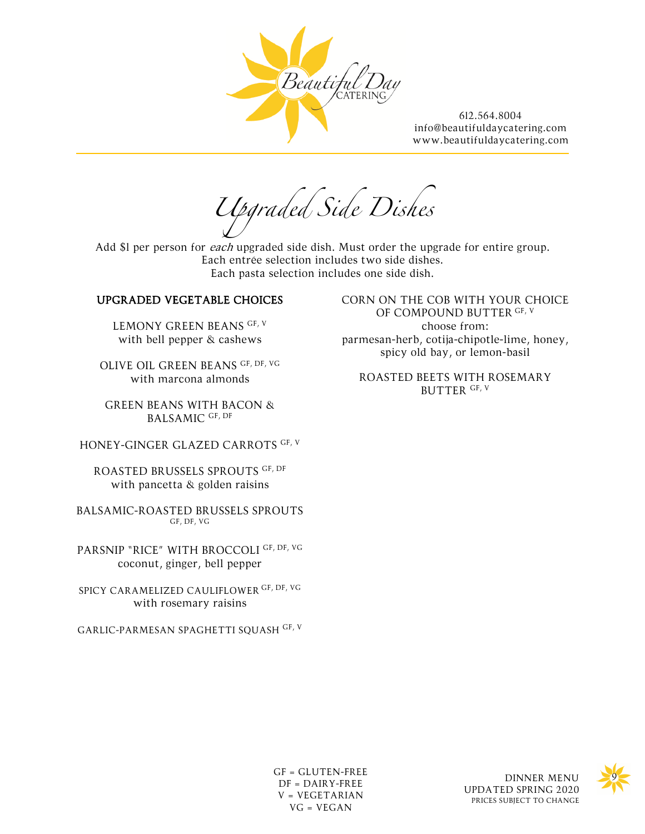

*Upgraded Side Dishes*

Add \$1 per person for each upgraded side dish. Must order the upgrade for entire group. Each entrée selection includes two side dishes. Each pasta selection includes one side dish.

### UPGRADED VEGETABLE CHOICES

LEMONY GREEN BEANS GF, V with bell pepper & cashews

OLIVE OIL GREEN BEANS GF, DF, VG with marcona almonds

GREEN BEANS WITH BACON & BALSAMIC GF, DF

HONEY-GINGER GLAZED CARROTS GF, V

ROASTED BRUSSELS SPROUTS GF, DF with pancetta & golden raisins

BALSAMIC-ROASTED BRUSSELS SPROUTS GF, DF, VG

PARSNIP "RICE" WITH BROCCOLI GF, DF, VG coconut, ginger, bell pepper

SPICY CARAMELIZED CAULIFLOWER GF, DF, VG with rosemary raisins

GARLIC-PARMESAN SPAGHETTI SQUASH GF, V

CORN ON THE COB WITH YOUR CHOICE OF COMPOUND BUTTER GF, V choose from: parmesan-herb, cotija-chipotle-lime, honey, spicy old bay, or lemon-basil

ROASTED BEETS WITH ROSEMARY BUTTER GF, V

UPDATED SPRING 2020 PRICES SUBJECT TO CHANGE